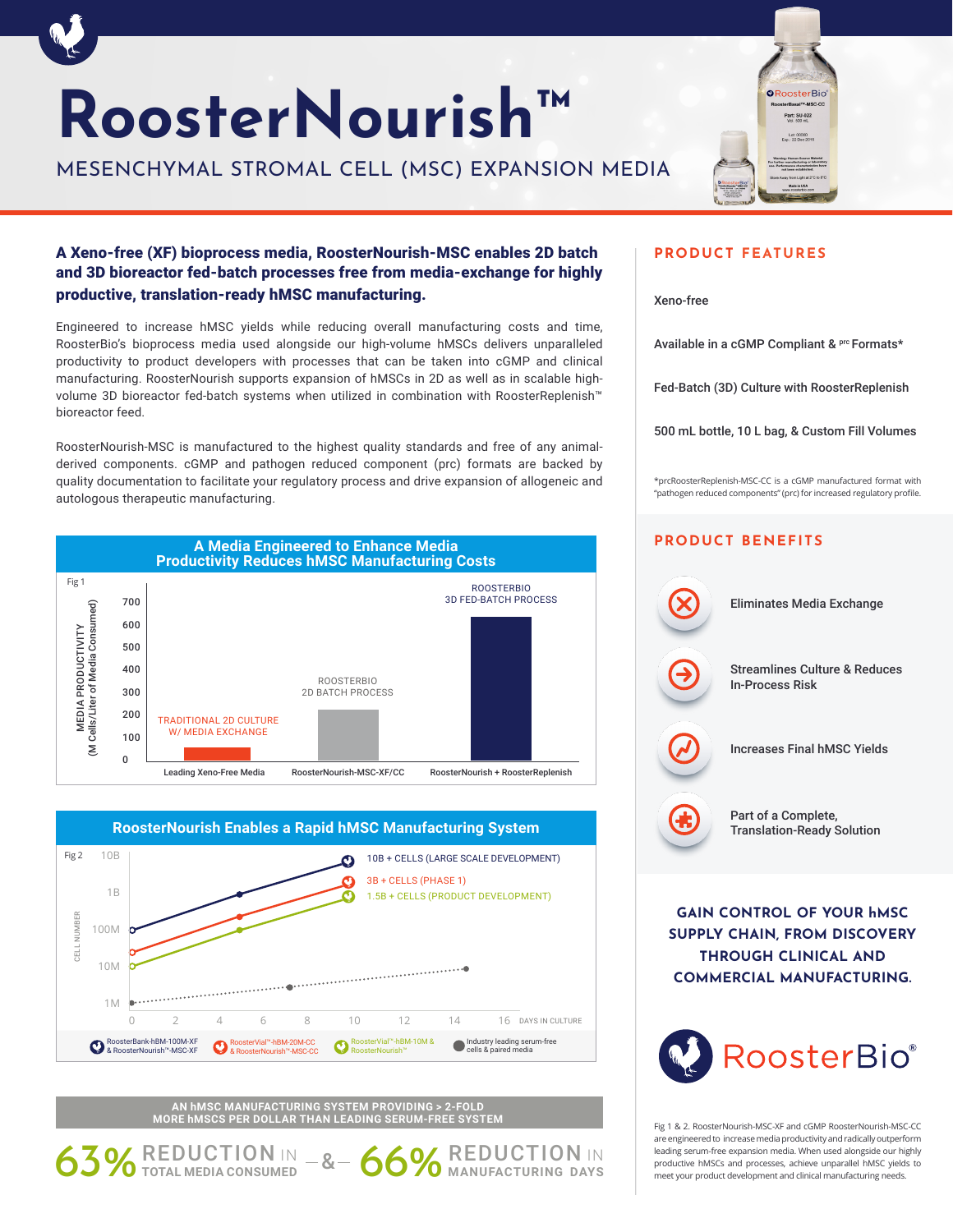# **RoosterNourish™**

MESENCHYMAL STROMAL CELL (MSC) EXPANSION MEDIA



## A Xeno-free (XF) bioprocess media, RoosterNourish-MSC enables 2D batch and 3D bioreactor fed-batch processes free from media-exchange for highly productive, translation-ready hMSC manufacturing.

Engineered to increase hMSC yields while reducing overall manufacturing costs and time, RoosterBio's bioprocess media used alongside our high-volume hMSCs delivers unparalleled productivity to product developers with processes that can be taken into cGMP and clinical manufacturing. RoosterNourish supports expansion of hMSCs in 2D as well as in scalable highvolume 3D bioreactor fed-batch systems when utilized in combination with RoosterReplenish™ bioreactor feed.

RoosterNourish-MSC is manufactured to the highest quality standards and free of any animalderived components. cGMP and pathogen reduced component (prc) formats are backed by quality documentation to facilitate your regulatory process and drive expansion of allogeneic and autologous therapeutic manufacturing.





**AN hMSC MANUFACTURING SYSTEM PROVIDING > 2-FOLD MORE hMSCS PER DOLLAR THAN LEADING SERUM-FREE SYSTEM**

63% REDUCTION IN -&- 66% REDUCTION IN

### **PRODUCT FEATURES**

Xeno-free

Available in a cGMP Compliant & Prc Formats\*

Fed-Batch (3D) Culture with RoosterReplenish

500 mL bottle, 10 L bag, & Custom Fill Volumes

\*prcRoosterReplenish-MSC-CC is a cGMP manufactured format with "pathogen reduced components" (prc) for increased regulatory profile.

## **PRODUCT BENEFITS**



**GAIN CONTROL OF YOUR hMSC SUPPLY CHAIN, FROM DISCOVERY THROUGH CLINICAL AND COMMERCIAL MANUFACTURING.**



Fig 1 & 2. RoosterNourish-MSC-XF and cGMP RoosterNourish-MSC-CC are engineered to increase media productivity and radically outperform leading serum-free expansion media. When used alongside our highly productive hMSCs and processes, achieve unparallel hMSC yields to meet your product development and clinical manufacturing needs.